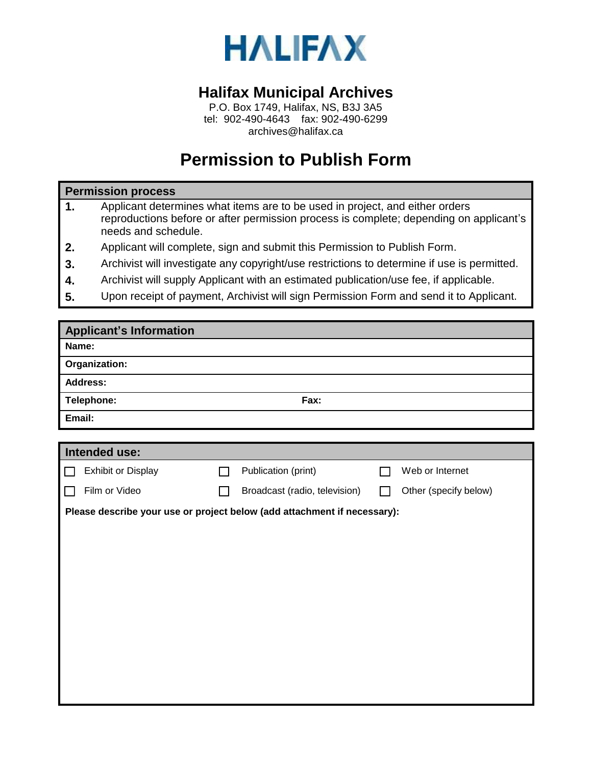

## **Halifax Municipal Archives**

P.O. Box 1749, Halifax, NS, B3J 3A5 tel: 902-490-4643 fax: 902-490-6299 archives@halifax.ca

## **Permission to Publish Form**

## **Permission process**

- **1.** Applicant determines what items are to be used in project, and either orders reproductions before or after permission process is complete; depending on applicant's needs and schedule.
- **2.** Applicant will complete, sign and submit this Permission to Publish Form.
- **3.** Archivist will investigate any copyright/use restrictions to determine if use is permitted.
- **4.** Archivist will supply Applicant with an estimated publication/use fee, if applicable.
- **5.** Upon receipt of payment, Archivist will sign Permission Form and send it to Applicant.

| <b>Applicant's Information</b>                                           |  |                               |  |                       |  |  |  |  |
|--------------------------------------------------------------------------|--|-------------------------------|--|-----------------------|--|--|--|--|
| Name:                                                                    |  |                               |  |                       |  |  |  |  |
| Organization:                                                            |  |                               |  |                       |  |  |  |  |
| <b>Address:</b>                                                          |  |                               |  |                       |  |  |  |  |
| Telephone:                                                               |  | Fax:                          |  |                       |  |  |  |  |
| Email:                                                                   |  |                               |  |                       |  |  |  |  |
|                                                                          |  |                               |  |                       |  |  |  |  |
| Intended use:                                                            |  |                               |  |                       |  |  |  |  |
| <b>Exhibit or Display</b>                                                |  | Publication (print)           |  | Web or Internet       |  |  |  |  |
| Film or Video                                                            |  | Broadcast (radio, television) |  | Other (specify below) |  |  |  |  |
| Please describe your use or project below (add attachment if necessary): |  |                               |  |                       |  |  |  |  |
|                                                                          |  |                               |  |                       |  |  |  |  |
|                                                                          |  |                               |  |                       |  |  |  |  |
|                                                                          |  |                               |  |                       |  |  |  |  |
|                                                                          |  |                               |  |                       |  |  |  |  |